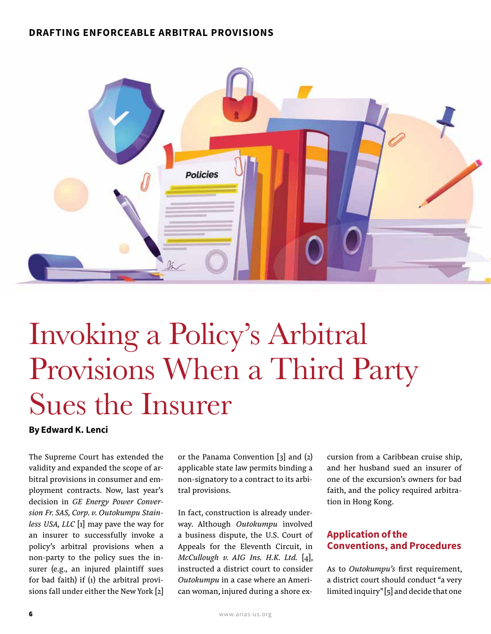#### DRAFTING ENFORCEABLE ARBITRAL PROVISIONS



# Invoking a Policy's Arbitral Provisions When a Third Party Sues the Insurer

By Edward K. Lenci

The Supreme Court has extended the validity and expanded the scope of arbitral provisions in consumer and employment contracts. Now, last year's decision in *GE Energy Power Conversion Fr. SAS, Corp. v. Outokumpu Stainless USA, LLC* [1] may pave the way for an insurer to successfully invoke a policy's arbitral provisions when a non-party to the policy sues the insurer (e.g., an injured plaintiff sues for bad faith) if (1) the arbitral provisions fall under either the New York [2] or the Panama Convention  $\begin{bmatrix} 3 \end{bmatrix}$  and  $\begin{bmatrix} 2 \end{bmatrix}$ applicable state law permits binding a non-signatory to a contract to its arbitral provisions.

In fact, construction is already underway. Although *Outokumpu* involved a business dispute, the U.S. Court of Appeals for the Eleventh Circuit, in *McCullough v. AIG Ins. H.K. Ltd.* [4], instructed a district court to consider *Outokumpu* in a case where an American woman, injured during a shore excursion from a Caribbean cruise ship, and her husband sued an insurer of one of the excursion's owners for bad faith, and the policy required arbitration in Hong Kong.

## Application of the Conventions, and Procedures

As to *Outokumpu's* first requirement, a district court should conduct "a very limited inquiry" [5] and decide that one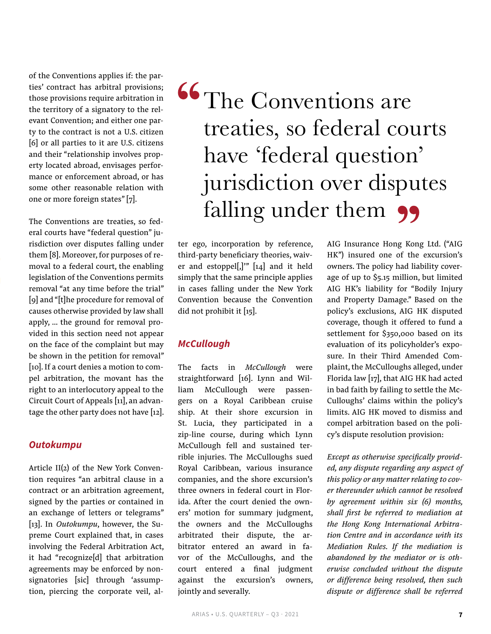of the Conventions applies if: the parties' contract has arbitral provisions; those provisions require arbitration in the territory of a signatory to the relevant Convention; and either one party to the contract is not a U.S. citizen [6] or all parties to it are U.S. citizens and their "relationship involves property located abroad, envisages performance or enforcement abroad, or has some other reasonable relation with one or more foreign states" [7].

The Conventions are treaties, so federal courts have "federal question" jurisdiction over disputes falling under them [8]. Moreover, for purposes of removal to a federal court, the enabling legislation of the Conventions permits removal "at any time before the trial" [9] and "[t]he procedure for removal of causes otherwise provided by law shall apply, … the ground for removal provided in this section need not appear on the face of the complaint but may be shown in the petition for removal" [10]. If a court denies a motion to compel arbitration, the movant has the right to an interlocutory appeal to the Circuit Court of Appeals [11], an advantage the other party does not have [12].

#### *Outokumpu*

Article II(2) of the New York Convention requires "an arbitral clause in a contract or an arbitration agreement, signed by the parties or contained in an exchange of letters or telegrams" [13]. In *Outokumpu*, however, the Supreme Court explained that, in cases involving the Federal Arbitration Act, it had "recognize[d] that arbitration agreements may be enforced by nonsignatories [sic] through 'assumption, piercing the corporate veil, al-

# **66** The Conventions are treaties, so federal courts have 'federal question' jurisdiction over disputes falling under them 99

ter ego, incorporation by reference, third-party beneficiary theories, waiver and estoppel[,]"  $[14]$  and it held simply that the same principle applies in cases falling under the New York Convention because the Convention did not prohibit it [15].

#### *McCullough*

The facts in *McCullough* were straightforward [16]. Lynn and William McCullough were passengers on a Royal Caribbean cruise ship. At their shore excursion in St. Lucia, they participated in a zip-line course, during which Lynn McCullough fell and sustained terrible injuries. The McCulloughs sued Royal Caribbean, various insurance companies, and the shore excursion's three owners in federal court in Florida. After the court denied the owners' motion for summary judgment, the owners and the McCulloughs arbitrated their dispute, the arbitrator entered an award in favor of the McCulloughs, and the court entered a final judgment against the excursion's owners, jointly and severally.

AIG Insurance Hong Kong Ltd. ("AIG HK") insured one of the excursion's owners. The policy had liability coverage of up to \$5.15 million, but limited AIG HK's liability for "Bodily Injury and Property Damage." Based on the policy's exclusions, AIG HK disputed coverage, though it offered to fund a settlement for \$350,000 based on its evaluation of its policyholder's exposure. In their Third Amended Complaint, the McCulloughs alleged, under Florida law [17], that AIG HK had acted in bad faith by failing to settle the Mc-Culloughs' claims within the policy's limits. AIG HK moved to dismiss and compel arbitration based on the policy's dispute resolution provision:

*Except as otherwise specifically provided, any dispute regarding any aspect of this policy or any matter relating to cover thereunder which cannot be resolved by agreement within six (6) months, shall first be referred to mediation at the Hong Kong International Arbitration Centre and in accordance with its Mediation Rules. If the mediation is abandoned by the mediator or is otherwise concluded without the dispute or difference being resolved, then such dispute or difference shall be referred*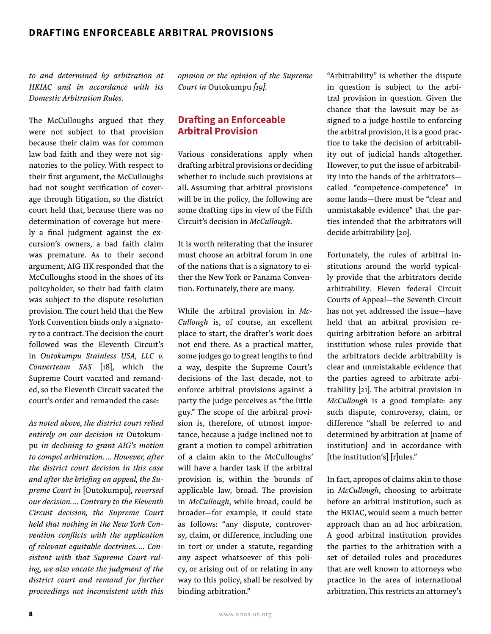*to and determined by arbitration at HKIAC and in accordance with its Domestic Arbitration Rules.*

The McCulloughs argued that they were not subject to that provision because their claim was for common law bad faith and they were not signatories to the policy. With respect to their first argument, the McCulloughs had not sought verification of coverage through litigation, so the district court held that, because there was no determination of coverage but merely a final judgment against the excursion's owners, a bad faith claim was premature. As to their second argument, AIG HK responded that the McCulloughs stood in the shoes of its policyholder, so their bad faith claim was subject to the dispute resolution provision. The court held that the New York Convention binds only a signatory to a contract. The decision the court followed was the Eleventh Circuit's in *Outokumpu Stainless USA, LLC v. Converteam SAS* [18], which the Supreme Court vacated and remanded, so the Eleventh Circuit vacated the court's order and remanded the case:

*As noted above, the district court relied entirely on our decision in* Outokumpu *in declining to grant AIG's motion to compel arbitration. … However, after the district court decision in this case and after the briefing on appeal, the Supreme Court in* [Outokumpu]*, reversed our decision. … Contrary to the Eleventh Circuit decision, the Supreme Court held that nothing in the New York Convention conflicts with the application of relevant equitable doctrines. … Consistent with that Supreme Court ruling, we also vacate the judgment of the district court and remand for further proceedings not inconsistent with this* 

*opinion or the opinion of the Supreme Court in* Outokumpu *[19].*

### Drafting an Enforceable Arbitral Provision

Various considerations apply when drafting arbitral provisions or deciding whether to include such provisions at all. Assuming that arbitral provisions will be in the policy, the following are some drafting tips in view of the Fifth Circuit's decision in *McCullough*.

It is worth reiterating that the insurer must choose an arbitral forum in one of the nations that is a signatory to either the New York or Panama Convention. Fortunately, there are many.

While the arbitral provision in *Mc-Cullough* is, of course, an excellent place to start, the drafter's work does not end there. As a practical matter, some judges go to great lengths to find a way, despite the Supreme Court's decisions of the last decade, not to enforce arbitral provisions against a party the judge perceives as "the little guy." The scope of the arbitral provision is, therefore, of utmost importance, because a judge inclined not to grant a motion to compel arbitration of a claim akin to the McCulloughs' will have a harder task if the arbitral provision is, within the bounds of applicable law, broad. The provision in *McCullough*, while broad, could be broader—for example, it could state as follows: "any dispute, controversy, claim, or difference, including one in tort or under a statute, regarding any aspect whatsoever of this policy, or arising out of or relating in any way to this policy, shall be resolved by binding arbitration."

"Arbitrability" is whether the dispute in question is subject to the arbitral provision in question. Given the chance that the lawsuit may be assigned to a judge hostile to enforcing the arbitral provision, it is a good practice to take the decision of arbitrability out of judicial hands altogether. However, to put the issue of arbitrability into the hands of the arbitrators called "competence-competence" in some lands—there must be "clear and unmistakable evidence" that the parties intended that the arbitrators will decide arbitrability [20].

Fortunately, the rules of arbitral institutions around the world typically provide that the arbitrators decide arbitrability. Eleven federal Circuit Courts of Appeal—the Seventh Circuit has not yet addressed the issue—have held that an arbitral provision requiring arbitration before an arbitral institution whose rules provide that the arbitrators decide arbitrability is clear and unmistakable evidence that the parties agreed to arbitrate arbitrability [21]. The arbitral provision in *McCullough* is a good template: any such dispute, controversy, claim, or difference "shall be referred to and determined by arbitration at [name of institution] and in accordance with [the institution's] [r]ules."

In fact, apropos of claims akin to those in *McCullough*, choosing to arbitrate before an arbitral institution, such as the HKIAC, would seem a much better approach than an ad hoc arbitration. A good arbitral institution provides the parties to the arbitration with a set of detailed rules and procedures that are well known to attorneys who practice in the area of international arbitration. This restricts an attorney's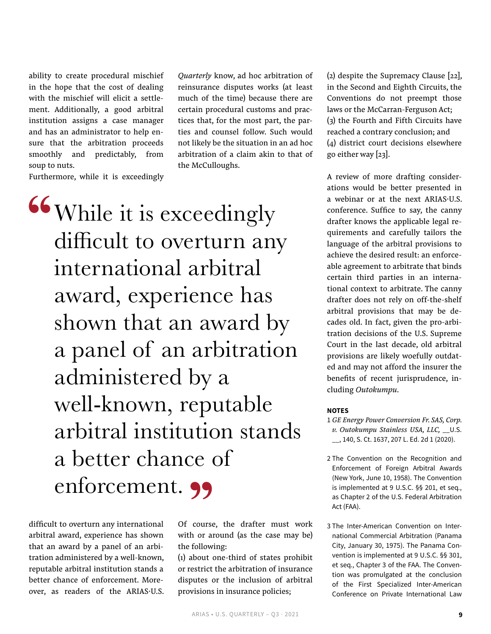ability to create procedural mischief in the hope that the cost of dealing with the mischief will elicit a settlement. Additionally, a good arbitral institution assigns a case manager and has an administrator to help ensure that the arbitration proceeds smoothly and predictably, from soup to nuts.

Furthermore, while it is exceedingly

While it is exceedingly difficult to overturn any international arbitral award, experience has shown that an award by a panel of an arbitration administered by a well-known, reputable arbitral institution stands a better chance of enforcement. 99

difficult to overturn any international arbitral award, experience has shown that an award by a panel of an arbitration administered by a well-known, reputable arbitral institution stands a better chance of enforcement. Moreover, as readers of the ARIAS·U.S. Of course, the drafter must work with or around (as the case may be) the following:

*Quarterly* know, ad hoc arbitration of reinsurance disputes works (at least much of the time) because there are certain procedural customs and practices that, for the most part, the parties and counsel follow. Such would not likely be the situation in an ad hoc arbitration of a claim akin to that of

the McCulloughs.

(1) about one-third of states prohibit or restrict the arbitration of insurance disputes or the inclusion of arbitral provisions in insurance policies;

(2) despite the Supremacy Clause  $[22]$ , in the Second and Eighth Circuits, the Conventions do not preempt those laws or the McCarran-Ferguson Act; (3) the Fourth and Fifth Circuits have reached a contrary conclusion; and (4) district court decisions elsewhere go either way [23].

A review of more drafting considerations would be better presented in a webinar or at the next ARIAS·U.S. conference. Suffice to say, the canny drafter knows the applicable legal requirements and carefully tailors the language of the arbitral provisions to achieve the desired result: an enforceable agreement to arbitrate that binds certain third parties in an international context to arbitrate. The canny drafter does not rely on off-the-shelf arbitral provisions that may be decades old. In fact, given the pro-arbitration decisions of the U.S. Supreme Court in the last decade, old arbitral provisions are likely woefully outdated and may not afford the insurer the benefits of recent jurisprudence, including *Outokumpu*.

#### **NOTES**

1 *GE Energy Power Conversion Fr. SAS, Corp. v. Outokumpu Stainless USA, LLC,* \_\_U.S. \_\_, 140, S. Ct. 1637, 207 L. Ed. 2d 1 (2020).

- 2 The Convention on the Recognition and Enforcement of Foreign Arbitral Awards (New York, June 10, 1958). The Convention is implemented at 9 U.S.C. §§ 201, et seq., as Chapter 2 of the U.S. Federal Arbitration Act (FAA).
- 3 The Inter-American Convention on International Commercial Arbitration (Panama City, January 30, 1975). The Panama Convention is implemented at 9 U.S.C. §§ 301, et seq., Chapter 3 of the FAA. The Convention was promulgated at the conclusion of the First Specialized Inter-American Conference on Private International Law